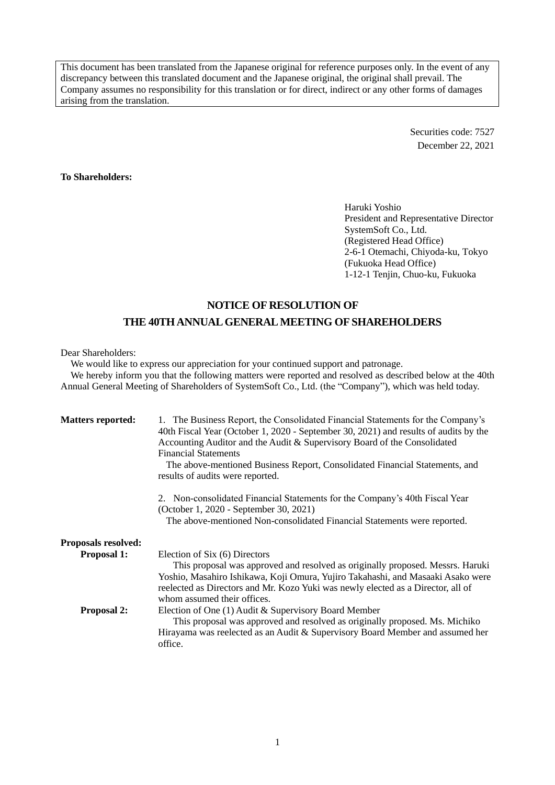This document has been translated from the Japanese original for reference purposes only. In the event of any discrepancy between this translated document and the Japanese original, the original shall prevail. The Company assumes no responsibility for this translation or for direct, indirect or any other forms of damages arising from the translation.

> Securities code: 7527 December 22, 2021

### **To Shareholders:**

Haruki Yoshio President and Representative Director SystemSoft Co., Ltd. (Registered Head Office) 2-6-1 Otemachi, Chiyoda-ku, Tokyo (Fukuoka Head Office) 1-12-1 Tenjin, Chuo-ku, Fukuoka

## **NOTICE OF RESOLUTION OF**

# **THE 40THANNUAL GENERAL MEETING OF SHAREHOLDERS**

### Dear Shareholders:

We would like to express our appreciation for your continued support and patronage.

We hereby inform you that the following matters were reported and resolved as described below at the 40th Annual General Meeting of Shareholders of SystemSoft Co., Ltd. (the "Company"), which was held today.

| <b>Matters reported:</b>   | 1. The Business Report, the Consolidated Financial Statements for the Company's<br>40th Fiscal Year (October 1, 2020 - September 30, 2021) and results of audits by the<br>Accounting Auditor and the Audit & Supervisory Board of the Consolidated<br><b>Financial Statements</b><br>The above-mentioned Business Report, Consolidated Financial Statements, and<br>results of audits were reported. |
|----------------------------|-------------------------------------------------------------------------------------------------------------------------------------------------------------------------------------------------------------------------------------------------------------------------------------------------------------------------------------------------------------------------------------------------------|
|                            | 2. Non-consolidated Financial Statements for the Company's 40th Fiscal Year<br>(October 1, 2020 - September 30, 2021)<br>The above-mentioned Non-consolidated Financial Statements were reported.                                                                                                                                                                                                     |
| <b>Proposals resolved:</b> |                                                                                                                                                                                                                                                                                                                                                                                                       |
| <b>Proposal 1:</b>         | Election of Six (6) Directors<br>This proposal was approved and resolved as originally proposed. Messrs. Haruki<br>Yoshio, Masahiro Ishikawa, Koji Omura, Yujiro Takahashi, and Masaaki Asako were<br>reelected as Directors and Mr. Kozo Yuki was newly elected as a Director, all of<br>whom assumed their offices.                                                                                 |
| <b>Proposal 2:</b>         | Election of One (1) Audit & Supervisory Board Member<br>This proposal was approved and resolved as originally proposed. Ms. Michiko<br>Hirayama was reelected as an Audit & Supervisory Board Member and assumed her<br>office.                                                                                                                                                                       |